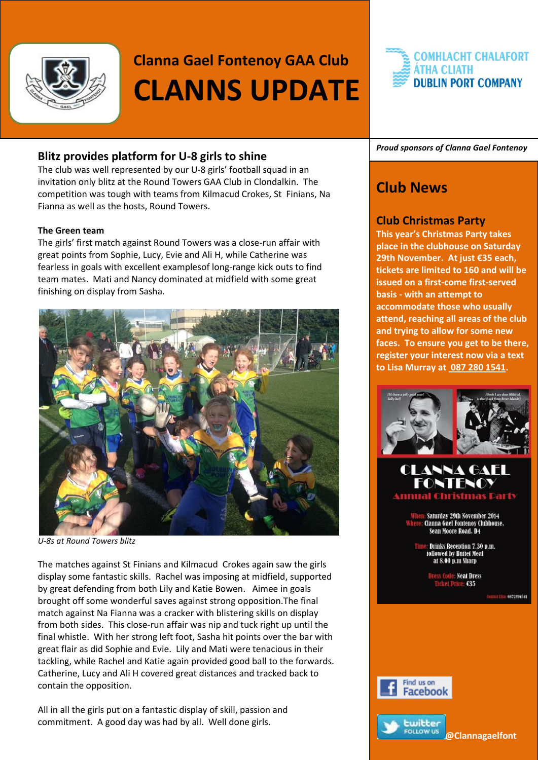

# **Clanna Gael Fontenoy GAA Club CLANNS UPDATE**

# **Blitz provides platform for U-8 girls to shine**

The club was well represented by our U-8 girls' football squad in an invitation only blitz at the Round Towers GAA Club in Clondalkin. The competition was tough with teams from Kilmacud Crokes, St Finians, Na Fianna as well as the hosts, Round Towers.

#### **The Green team**

The girls' first match against Round Towers was a close-run affair with great points from Sophie, Lucy, Evie and Ali H, while Catherine was fearless in goals with excellent examplesof long-range kick outs to find team mates. Mati and Nancy dominated at midfield with some great finishing on display from Sasha.



*U-8s at Round Towers blitz*

The matches against St Finians and Kilmacud Crokes again saw the girls display some fantastic skills. Rachel was imposing at midfield, supported by great defending from both Lily and Katie Bowen. Aimee in goals brought off some wonderful saves against strong opposition.The final match against Na Fianna was a cracker with blistering skills on display from both sides. This close-run affair was nip and tuck right up until the final whistle. With her strong left foot, Sasha hit points over the bar with great flair as did Sophie and Evie. Lily and Mati were tenacious in their tackling, while Rachel and Katie again provided good ball to the forwards. Catherine, Lucy and Ali H covered great distances and tracked back to contain the opposition.

All in all the girls put on a fantastic display of skill, passion and commitment. A good day was had by all. Well done girls.

# **COMHLACHT CHALAFORT ÁTHA CLIATH DUBLIN PORT COMPANY**

*Proud sponsors of Clanna Gael Fontenoy*

# **Club News**

## **Club Christmas Party**

**This year's Christmas Party takes place in the clubhouse on Saturday 29th November. At just €35 each, tickets are limited to 160 and will be issued on a first-come first-served basis - with an attempt to accommodate those who usually attend, reaching all areas of the club and trying to allow for some new faces. To ensure you get to be there, register your interest now via a text to Lisa Murray a[t 087 280 1541.](tel:%2B353%2087%20280%201541)** 



# **CLANNA GAEL**

Saturday 29th November 2014 Clanna Gael Fontenoy Clubhouse, Sean Moore Road, D4

Drinks Reception 7.30 p.m. followed by Buffet Meal at 8.00 p.m Sharp

> **Code: Neat Dress** ikel Price: €35

> > 0872801541



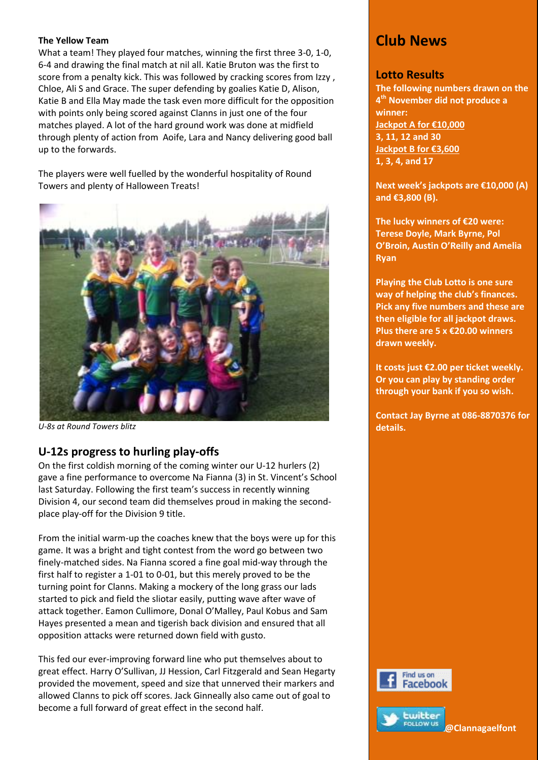#### **The Yellow Team**

What a team! They played four matches, winning the first three 3-0, 1-0, 6-4 and drawing the final match at nil all. Katie Bruton was the first to score from a penalty kick. This was followed by cracking scores from Izzy , Chloe, Ali S and Grace. The super defending by goalies Katie D, Alison, Katie B and Ella May made the task even more difficult for the opposition with points only being scored against Clanns in just one of the four matches played. A lot of the hard ground work was done at midfield through plenty of action from Aoife, Lara and Nancy delivering good ball up to the forwards.

The players were well fuelled by the wonderful hospitality of Round Towers and plenty of Halloween Treats!



*U-8s at Round Towers blitz*

# **U-12s progress to hurling play-offs**

On the first coldish morning of the coming winter our U-12 hurlers (2) gave a fine performance to overcome Na Fianna (3) in St. Vincent's School last Saturday. Following the first team's success in recently winning Division 4, our second team did themselves proud in making the secondplace play-off for the Division 9 title.

From the initial warm-up the coaches knew that the boys were up for this game. It was a bright and tight contest from the word go between two finely-matched sides. Na Fianna scored a fine goal mid-way through the first half to register a 1-01 to 0-01, but this merely proved to be the turning point for Clanns. Making a mockery of the long grass our lads started to pick and field the sliotar easily, putting wave after wave of attack together. Eamon Cullimore, Donal O'Malley, Paul Kobus and Sam Hayes presented a mean and tigerish back division and ensured that all opposition attacks were returned down field with gusto.

This fed our ever-improving forward line who put themselves about to great effect. Harry O'Sullivan, JJ Hession, Carl Fitzgerald and Sean Hegarty provided the movement, speed and size that unnerved their markers and allowed Clanns to pick off scores. Jack Ginneally also came out of goal to become a full forward of great effect in the second half.

# **Club News**

### **Lotto Results**

**The following numbers drawn on the 4 th November did not produce a winner: Jackpot A for €10,000 3, 11, 12 and 30 Jackpot B for €3,600 1, 3, 4, and 17**

**Next week's jackpots are €10,000 (A) and €3,800 (B).**

**The lucky winners of €20 were: Terese Doyle, Mark Byrne, Pol O'Broin, Austin O'Reilly and Amelia Ryan**

**Playing the Club Lotto is one sure way of helping the club's finances. Pick any five numbers and these are then eligible for all jackpot draws. Plus there are 5 x €20.00 winners drawn weekly.** 

**It costs just €2.00 per ticket weekly. Or you can play by standing order through your bank if you so wish.** 

**Contact Jay Byrne at 086-8870376 for details.**



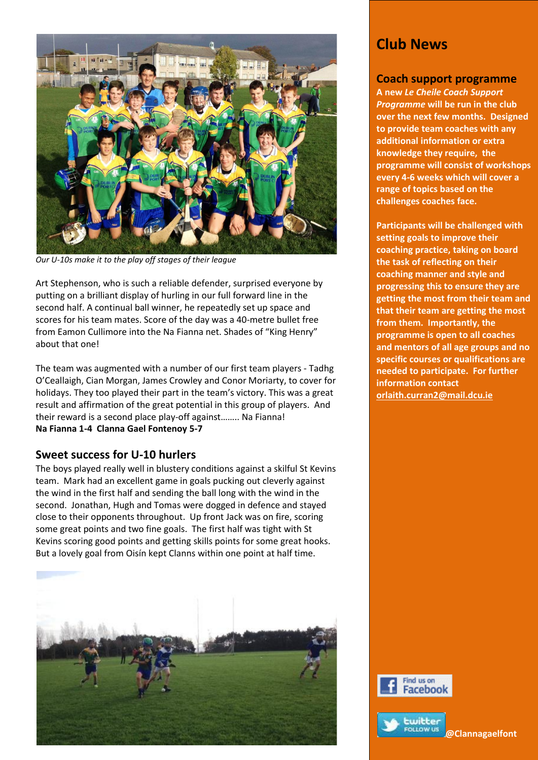

*Our U-10s make it to the play off stages of their league*

Art Stephenson, who is such a reliable defender, surprised everyone by putting on a brilliant display of hurling in our full forward line in the second half. A continual ball winner, he repeatedly set up space and scores for his team mates. Score of the day was a 40-metre bullet free from Eamon Cullimore into the Na Fianna net. Shades of "King Henry" about that one!

The team was augmented with a number of our first team players - Tadhg O'Ceallaigh, Cian Morgan, James Crowley and Conor Moriarty, to cover for holidays. They too played their part in the team's victory. This was a great result and affirmation of the great potential in this group of players. And their reward is a second place play-off against…….. Na Fianna! **Na Fianna 1-4 Clanna Gael Fontenoy 5-7**

### **Sweet success for U-10 hurlers**

The boys played really well in blustery conditions against a skilful St Kevins team. Mark had an excellent game in goals pucking out cleverly against the wind in the first half and sending the ball long with the wind in the second. Jonathan, Hugh and Tomas were dogged in defence and stayed close to their opponents throughout. Up front Jack was on fire, scoring some great points and two fine goals. The first half was tight with St Kevins scoring good points and getting skills points for some great hooks. But a lovely goal from Oisín kept Clanns within one point at half time.



# **Club News**

#### **Coach support programme**

**A new** *Le Cheile Coach Support Programme* **will be run in the club over the next few months. Designed to provide team coaches with any additional information or extra knowledge they require, the programme will consist of workshops every 4-6 weeks which will cover a range of topics based on the challenges coaches face.** 

**Participants will be challenged with setting goals to improve their coaching practice, taking on board the task of reflecting on their coaching manner and style and progressing this to ensure they are getting the most from their team and that their team are getting the most from them. Importantly, the programme is open to all coaches and mentors of all age groups and no specific courses or qualifications are needed to participate. For further information contact [orlaith.curran2@mail.dcu.ie](mailto:orlaith.curran2@mail.dcu.ie)**